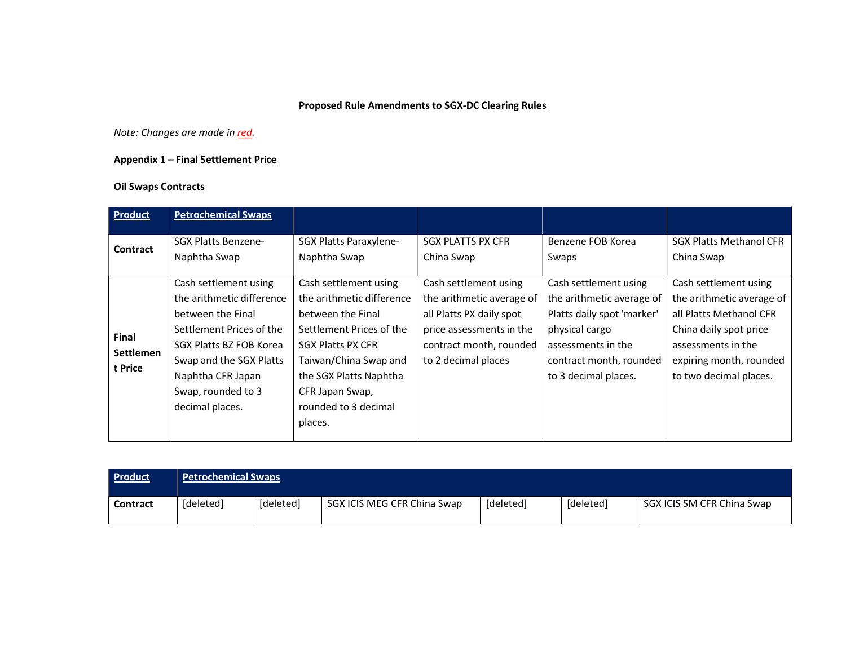## Proposed Rule Amendments to SGX-DC Clearing Rules

Note: Changes are made in red.

## Appendix 1 – Final Settlement Price

## Oil Swaps Contracts

| Product                                     | <b>Petrochemical Swaps</b>                                                                                                                                                                                              |                                                                                                                                                                                                                                          |                                                                                                                                                              |                                                                                                                                                                             |                                                                                                                                                                                    |
|---------------------------------------------|-------------------------------------------------------------------------------------------------------------------------------------------------------------------------------------------------------------------------|------------------------------------------------------------------------------------------------------------------------------------------------------------------------------------------------------------------------------------------|--------------------------------------------------------------------------------------------------------------------------------------------------------------|-----------------------------------------------------------------------------------------------------------------------------------------------------------------------------|------------------------------------------------------------------------------------------------------------------------------------------------------------------------------------|
| Contract                                    | <b>SGX Platts Benzene-</b><br>Naphtha Swap                                                                                                                                                                              | SGX Platts Paraxylene-<br>Naphtha Swap                                                                                                                                                                                                   | <b>SGX PLATTS PX CFR</b><br>China Swap                                                                                                                       | Benzene FOB Korea<br>Swaps                                                                                                                                                  | <b>SGX Platts Methanol CFR</b><br>China Swap                                                                                                                                       |
| <b>Final</b><br><b>Settlemen</b><br>t Price | Cash settlement using<br>the arithmetic difference<br>between the Final<br>Settlement Prices of the<br>SGX Platts BZ FOB Korea<br>Swap and the SGX Platts<br>Naphtha CFR Japan<br>Swap, rounded to 3<br>decimal places. | Cash settlement using<br>the arithmetic difference<br>between the Final<br>Settlement Prices of the<br><b>SGX Platts PX CFR</b><br>Taiwan/China Swap and<br>the SGX Platts Naphtha<br>CFR Japan Swap,<br>rounded to 3 decimal<br>places. | Cash settlement using<br>the arithmetic average of<br>all Platts PX daily spot<br>price assessments in the<br>contract month, rounded<br>to 2 decimal places | Cash settlement using<br>the arithmetic average of<br>Platts daily spot 'marker'<br>physical cargo<br>assessments in the<br>contract month, rounded<br>to 3 decimal places. | Cash settlement using<br>the arithmetic average of<br>all Platts Methanol CFR<br>China daily spot price<br>assessments in the<br>expiring month, rounded<br>to two decimal places. |

| <b>Product</b>  | <b>Petrochemical Swaps</b> |           |                             |           |           |                            |  |
|-----------------|----------------------------|-----------|-----------------------------|-----------|-----------|----------------------------|--|
| <b>Contract</b> | [deleted]                  | [deleted] | SGX ICIS MEG CFR China Swap | [deleted] | [deleted] | SGX ICIS SM CFR China Swap |  |